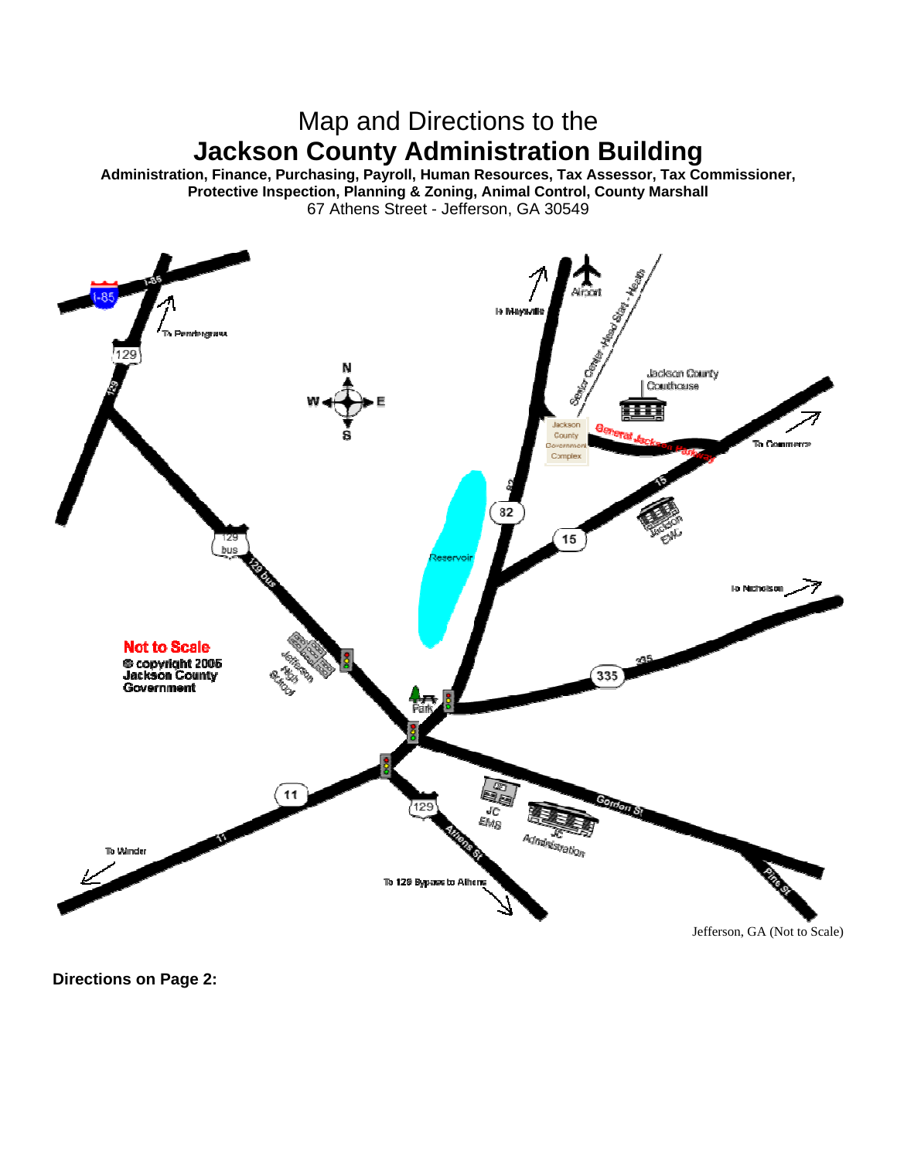# Map and Directions to the **Jackson County Administration Building**

**Administration, Finance, Purchasing, Payroll, Human Resources, Tax Assessor, Tax Commissioner, Protective Inspection, Planning & Zoning, Animal Control, County Marshall** 67 Athens Street - Jefferson, GA 30549



**Directions on Page 2:**